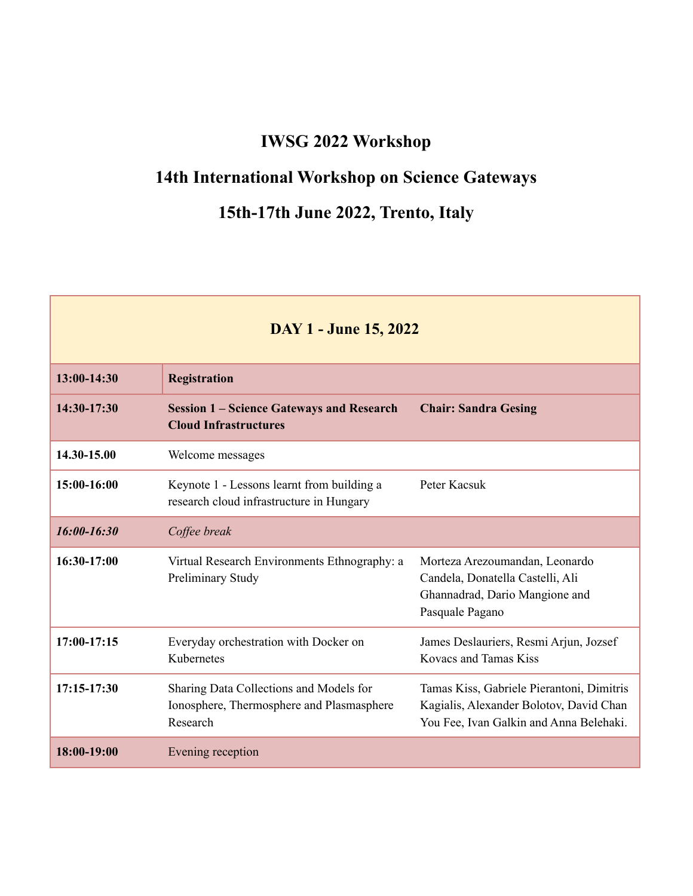# **IWSG 2022 Workshop**

## **14th International Workshop on Science Gateways**

**15th-17th June 2022, Trento, Italy**

Г

| <b>DAY 1 - June 15, 2022</b> |                                                                                                  |                                                                                                                                 |
|------------------------------|--------------------------------------------------------------------------------------------------|---------------------------------------------------------------------------------------------------------------------------------|
| $13:00-14:30$                | <b>Registration</b>                                                                              |                                                                                                                                 |
| 14:30-17:30                  | <b>Session 1 – Science Gateways and Research</b><br><b>Cloud Infrastructures</b>                 | <b>Chair: Sandra Gesing</b>                                                                                                     |
| 14.30-15.00                  | Welcome messages                                                                                 |                                                                                                                                 |
| 15:00-16:00                  | Keynote 1 - Lessons learnt from building a<br>research cloud infrastructure in Hungary           | Peter Kacsuk                                                                                                                    |
| $16:00 - 16:30$              | Coffee break                                                                                     |                                                                                                                                 |
| 16:30-17:00                  | Virtual Research Environments Ethnography: a<br>Preliminary Study                                | Morteza Arezoumandan, Leonardo<br>Candela, Donatella Castelli, Ali<br>Ghannadrad, Dario Mangione and<br>Pasquale Pagano         |
| $17:00-17:15$                | Everyday orchestration with Docker on<br>Kubernetes                                              | James Deslauriers, Resmi Arjun, Jozsef<br><b>Kovacs and Tamas Kiss</b>                                                          |
| $17:15-17:30$                | Sharing Data Collections and Models for<br>Ionosphere, Thermosphere and Plasmasphere<br>Research | Tamas Kiss, Gabriele Pierantoni, Dimitris<br>Kagialis, Alexander Bolotov, David Chan<br>You Fee, Ivan Galkin and Anna Belehaki. |
| 18:00-19:00                  | Evening reception                                                                                |                                                                                                                                 |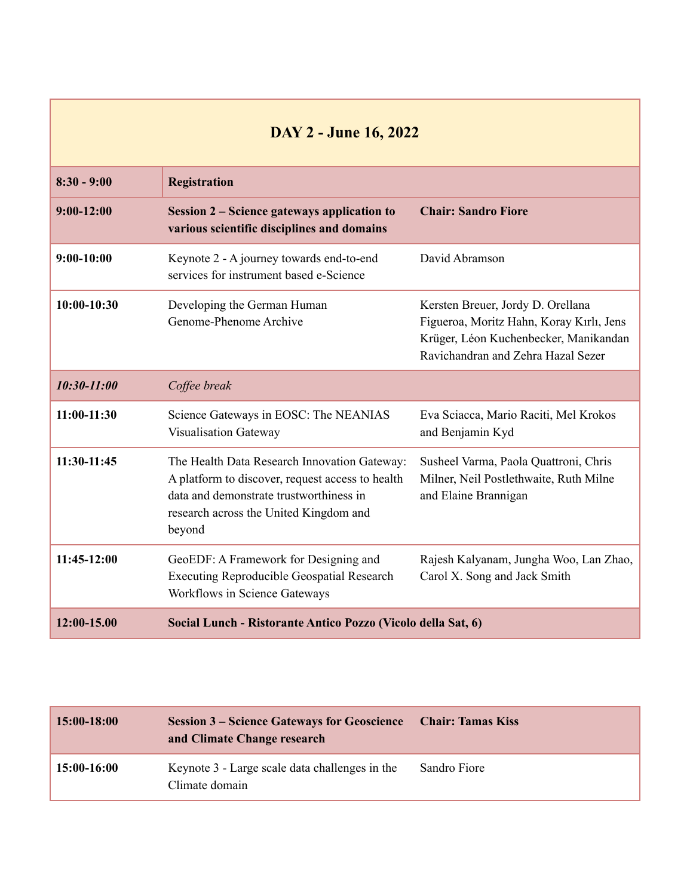| DAY 2 - June 16, 2022                                                       |                                                                                                                                                                                                 |                                                                                                                                                              |
|-----------------------------------------------------------------------------|-------------------------------------------------------------------------------------------------------------------------------------------------------------------------------------------------|--------------------------------------------------------------------------------------------------------------------------------------------------------------|
| $8:30 - 9:00$                                                               | <b>Registration</b>                                                                                                                                                                             |                                                                                                                                                              |
| $9:00-12:00$                                                                | Session 2 – Science gateways application to<br>various scientific disciplines and domains                                                                                                       | <b>Chair: Sandro Fiore</b>                                                                                                                                   |
| $9:00-10:00$                                                                | Keynote 2 - A journey towards end-to-end<br>services for instrument based e-Science                                                                                                             | David Abramson                                                                                                                                               |
| $10:00-10:30$                                                               | Developing the German Human<br>Genome-Phenome Archive                                                                                                                                           | Kersten Breuer, Jordy D. Orellana<br>Figueroa, Moritz Hahn, Koray Kırlı, Jens<br>Krüger, Léon Kuchenbecker, Manikandan<br>Ravichandran and Zehra Hazal Sezer |
| $10:30 - 11:00$                                                             | Coffee break                                                                                                                                                                                    |                                                                                                                                                              |
| $11:00-11:30$                                                               | Science Gateways in EOSC: The NEANIAS<br>Visualisation Gateway                                                                                                                                  | Eva Sciacca, Mario Raciti, Mel Krokos<br>and Benjamin Kyd                                                                                                    |
| 11:30-11:45                                                                 | The Health Data Research Innovation Gateway:<br>A platform to discover, request access to health<br>data and demonstrate trustworthiness in<br>research across the United Kingdom and<br>beyond | Susheel Varma, Paola Quattroni, Chris<br>Milner, Neil Postlethwaite, Ruth Milne<br>and Elaine Brannigan                                                      |
| 11:45-12:00                                                                 | GeoEDF: A Framework for Designing and<br><b>Executing Reproducible Geospatial Research</b><br>Workflows in Science Gateways                                                                     | Rajesh Kalyanam, Jungha Woo, Lan Zhao,<br>Carol X. Song and Jack Smith                                                                                       |
| 12:00-15.00<br>Social Lunch - Ristorante Antico Pozzo (Vicolo della Sat, 6) |                                                                                                                                                                                                 |                                                                                                                                                              |

**Contract Contract Contract** 

| 15:00-18:00 | Session 3 – Science Gateways for Geoscience Chair: Tamas Kiss<br>and Climate Change research |              |
|-------------|----------------------------------------------------------------------------------------------|--------------|
| 15:00-16:00 | Keynote 3 - Large scale data challenges in the<br>Climate domain                             | Sandro Fiore |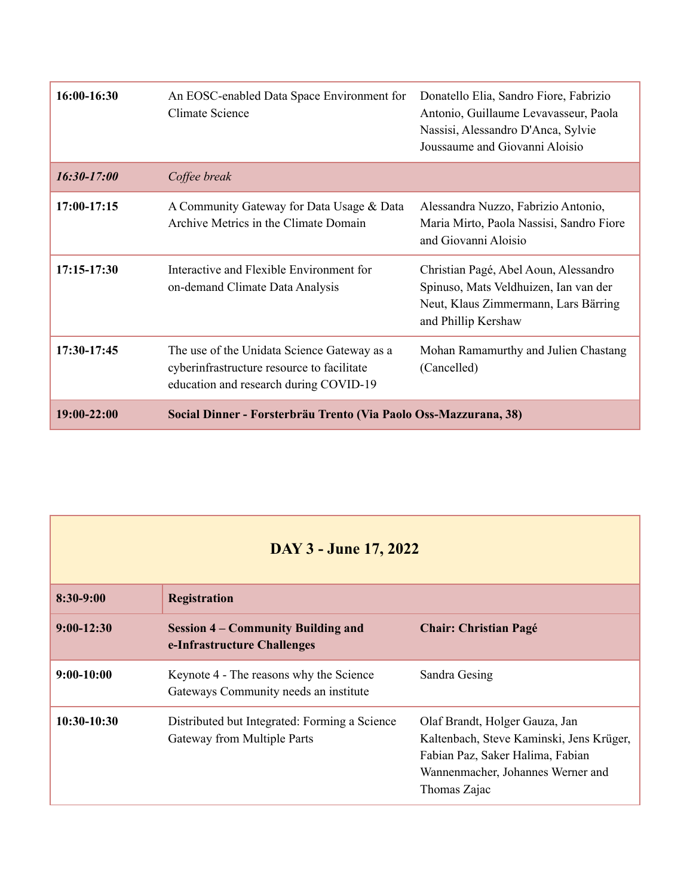| 16:00-16:30 | An EOSC-enabled Data Space Environment for<br>Climate Science                                                                       | Donatello Elia, Sandro Fiore, Fabrizio<br>Antonio, Guillaume Levavasseur, Paola<br>Nassisi, Alessandro D'Anca, Sylvie<br>Joussaume and Giovanni Aloisio |
|-------------|-------------------------------------------------------------------------------------------------------------------------------------|---------------------------------------------------------------------------------------------------------------------------------------------------------|
| 16:30-17:00 | Coffee break                                                                                                                        |                                                                                                                                                         |
| 17:00-17:15 | A Community Gateway for Data Usage & Data<br>Archive Metrics in the Climate Domain                                                  | Alessandra Nuzzo, Fabrizio Antonio,<br>Maria Mirto, Paola Nassisi, Sandro Fiore<br>and Giovanni Aloisio                                                 |
| 17:15-17:30 | Interactive and Flexible Environment for<br>on-demand Climate Data Analysis                                                         | Christian Pagé, Abel Aoun, Alessandro<br>Spinuso, Mats Veldhuizen, Ian van der<br>Neut, Klaus Zimmermann, Lars Bärring<br>and Phillip Kershaw           |
| 17:30-17:45 | The use of the Unidata Science Gateway as a<br>cyberinfrastructure resource to facilitate<br>education and research during COVID-19 | Mohan Ramamurthy and Julien Chastang<br>(Cancelled)                                                                                                     |
| 19:00-22:00 | Social Dinner - Forsterbräu Trento (Via Paolo Oss-Mazzurana, 38)                                                                    |                                                                                                                                                         |

| DAY 3 - June 17, 2022 |                                                                                  |                                                                                                                                                                     |
|-----------------------|----------------------------------------------------------------------------------|---------------------------------------------------------------------------------------------------------------------------------------------------------------------|
| $8:30-9:00$           | <b>Registration</b>                                                              |                                                                                                                                                                     |
| $9:00-12:30$          | <b>Session 4 – Community Building and</b><br>e-Infrastructure Challenges         | <b>Chair: Christian Pagé</b>                                                                                                                                        |
| $9:00-10:00$          | Keynote 4 - The reasons why the Science<br>Gateways Community needs an institute | Sandra Gesing                                                                                                                                                       |
| $10:30-10:30$         | Distributed but Integrated: Forming a Science<br>Gateway from Multiple Parts     | Olaf Brandt, Holger Gauza, Jan<br>Kaltenbach, Steve Kaminski, Jens Krüger,<br>Fabian Paz, Saker Halima, Fabian<br>Wannenmacher, Johannes Werner and<br>Thomas Zajac |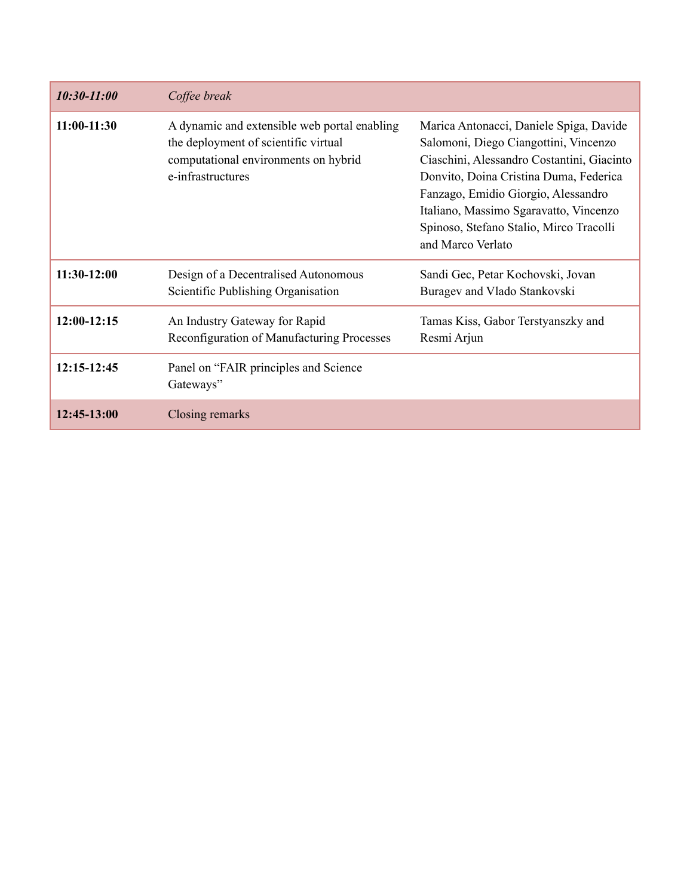| 10:30-11:00   | Coffee break                                                                                                                                      |                                                                                                                                                                                                                                                                                                                           |
|---------------|---------------------------------------------------------------------------------------------------------------------------------------------------|---------------------------------------------------------------------------------------------------------------------------------------------------------------------------------------------------------------------------------------------------------------------------------------------------------------------------|
| $11:00-11:30$ | A dynamic and extensible web portal enabling<br>the deployment of scientific virtual<br>computational environments on hybrid<br>e-infrastructures | Marica Antonacci, Daniele Spiga, Davide<br>Salomoni, Diego Ciangottini, Vincenzo<br>Ciaschini, Alessandro Costantini, Giacinto<br>Donvito, Doina Cristina Duma, Federica<br>Fanzago, Emidio Giorgio, Alessandro<br>Italiano, Massimo Sgaravatto, Vincenzo<br>Spinoso, Stefano Stalio, Mirco Tracolli<br>and Marco Verlato |
| $11:30-12:00$ | Design of a Decentralised Autonomous<br>Scientific Publishing Organisation                                                                        | Sandi Gec, Petar Kochovski, Jovan<br>Buragev and Vlado Stankovski                                                                                                                                                                                                                                                         |
| 12:00-12:15   | An Industry Gateway for Rapid<br>Reconfiguration of Manufacturing Processes                                                                       | Tamas Kiss, Gabor Terstyanszky and<br>Resmi Arjun                                                                                                                                                                                                                                                                         |
| $12:15-12:45$ | Panel on "FAIR principles and Science"<br>Gateways"                                                                                               |                                                                                                                                                                                                                                                                                                                           |
| 12:45-13:00   | Closing remarks                                                                                                                                   |                                                                                                                                                                                                                                                                                                                           |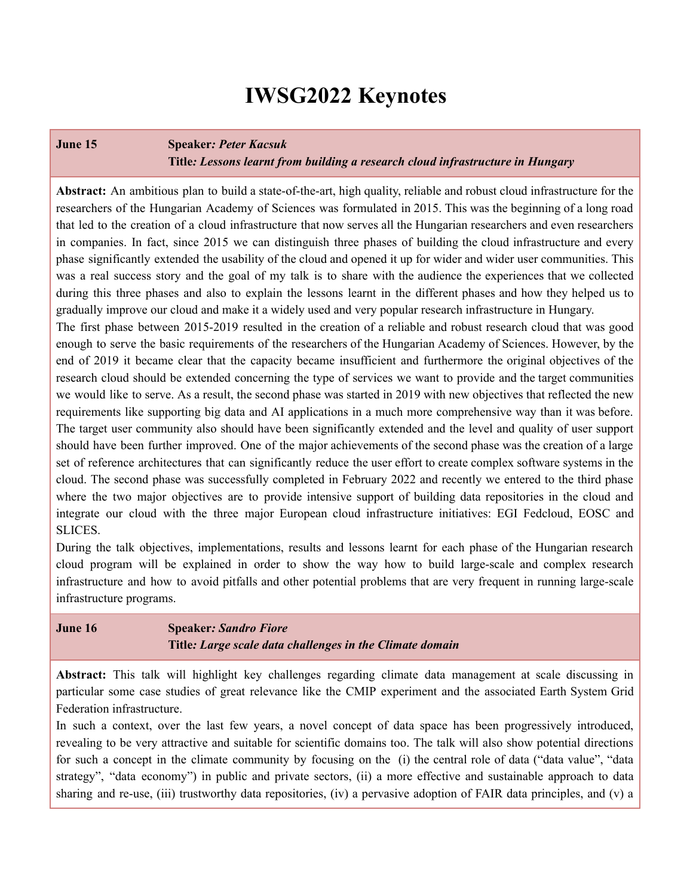# **IWSG2022 Keynotes**

#### **June 15 Speaker***: Peter Kacsuk* **Title***: Lessons learnt from building a research cloud infrastructure in Hungary*

**Abstract:** An ambitious plan to build a state-of-the-art, high quality, reliable and robust cloud infrastructure for the researchers of the Hungarian Academy of Sciences was formulated in 2015. This was the beginning of a long road that led to the creation of a cloud infrastructure that now serves all the Hungarian researchers and even researchers in companies. In fact, since 2015 we can distinguish three phases of building the cloud infrastructure and every phase significantly extended the usability of the cloud and opened it up for wider and wider user communities. This was a real success story and the goal of my talk is to share with the audience the experiences that we collected during this three phases and also to explain the lessons learnt in the different phases and how they helped us to gradually improve our cloud and make it a widely used and very popular research infrastructure in Hungary.

The first phase between 2015-2019 resulted in the creation of a reliable and robust research cloud that was good enough to serve the basic requirements of the researchers of the Hungarian Academy of Sciences. However, by the end of 2019 it became clear that the capacity became insufficient and furthermore the original objectives of the research cloud should be extended concerning the type of services we want to provide and the target communities we would like to serve. As a result, the second phase was started in 2019 with new objectives that reflected the new requirements like supporting big data and AI applications in a much more comprehensive way than it was before. The target user community also should have been significantly extended and the level and quality of user support should have been further improved. One of the major achievements of the second phase was the creation of a large set of reference architectures that can significantly reduce the user effort to create complex software systems in the cloud. The second phase was successfully completed in February 2022 and recently we entered to the third phase where the two major objectives are to provide intensive support of building data repositories in the cloud and integrate our cloud with the three major European cloud infrastructure initiatives: EGI Fedcloud, EOSC and SLICES.

During the talk objectives, implementations, results and lessons learnt for each phase of the Hungarian research cloud program will be explained in order to show the way how to build large-scale and complex research infrastructure and how to avoid pitfalls and other potential problems that are very frequent in running large-scale infrastructure programs.

#### **June 16 Speaker***: Sandro Fiore* **Title***: Large scale data challenges in the Climate domain*

**Abstract:** This talk will highlight key challenges regarding climate data management at scale discussing in particular some case studies of great relevance like the CMIP experiment and the associated Earth System Grid Federation infrastructure.

In such a context, over the last few years, a novel concept of data space has been progressively introduced, revealing to be very attractive and suitable for scientific domains too. The talk will also show potential directions for such a concept in the climate community by focusing on the (i) the central role of data ("data value", "data strategy", "data economy") in public and private sectors, (ii) a more effective and sustainable approach to data sharing and re-use, (iii) trustworthy data repositories, (iv) a pervasive adoption of FAIR data principles, and (v) a